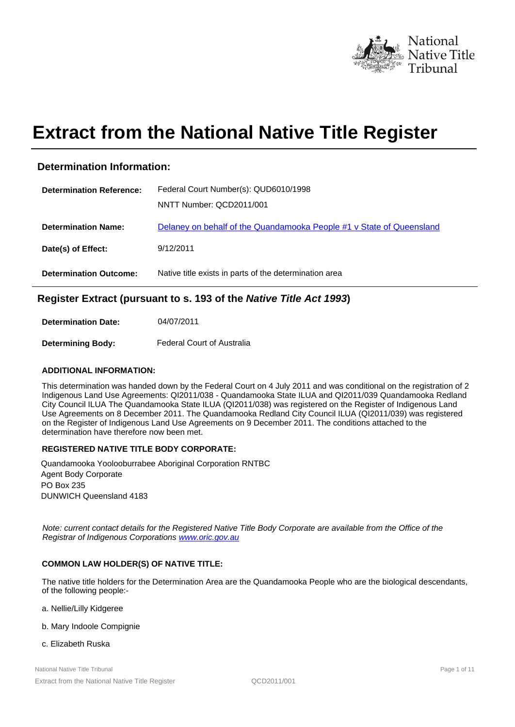

# **Extract from the National Native Title Register**

# **Determination Information:**

| <b>Determination Reference:</b> | Federal Court Number(s): QUD6010/1998                                |
|---------------------------------|----------------------------------------------------------------------|
|                                 | NNTT Number: QCD2011/001                                             |
| <b>Determination Name:</b>      | Delaney on behalf of the Quandamooka People #1 v State of Queensland |
| Date(s) of Effect:              | 9/12/2011                                                            |
| <b>Determination Outcome:</b>   | Native title exists in parts of the determination area               |

# **Register Extract (pursuant to s. 193 of the Native Title Act 1993)**

**Determination Date:**  04/07/2011

**Determining Body:**  Federal Court of Australia

## **ADDITIONAL INFORMATION:**

This determination was handed down by the Federal Court on 4 July 2011 and was conditional on the registration of 2 Indigenous Land Use Agreements: QI2011/038 - Quandamooka State ILUA and QI2011/039 Quandamooka Redland City Council ILUA The Quandamooka State ILUA (QI2011/038) was registered on the Register of Indigenous Land Use Agreements on 8 December 2011. The Quandamooka Redland City Council ILUA (QI2011/039) was registered on the Register of Indigenous Land Use Agreements on 9 December 2011. The conditions attached to the determination have therefore now been met.

# **REGISTERED NATIVE TITLE BODY CORPORATE:**

Quandamooka Yoolooburrabee Aboriginal Corporation RNTBC PO Box 235 DUNWICH Queensland 4183 Agent Body Corporate

Note: current contact details for the Registered Native Title Body Corporate are available from the Office of the Registrar of Indigenous Corporations www.oric.gov.au

# **COMMON LAW HOLDER(S) OF NATIVE TITLE:**

The native title holders for the Determination Area are the Quandamooka People who are the biological descendants, of the following people:-

- a. Nellie/Lilly Kidgeree
- b. Mary Indoole Compignie
- c. Elizabeth Ruska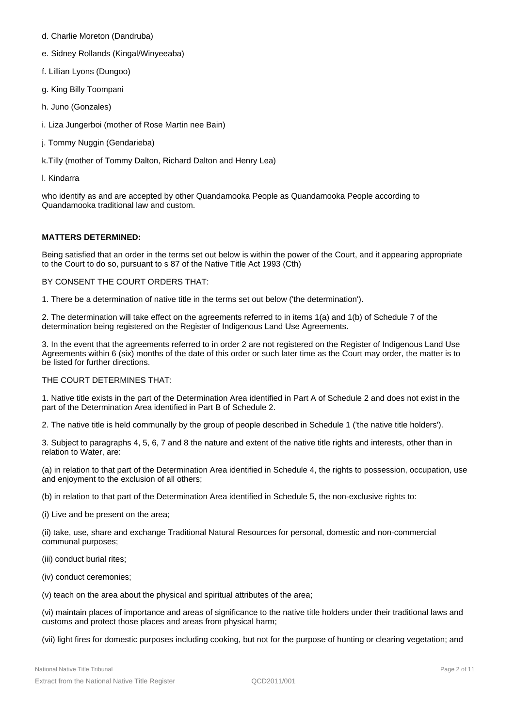- d. Charlie Moreton (Dandruba)
- e. Sidney Rollands (Kingal/Winyeeaba)
- f. Lillian Lyons (Dungoo)
- g. King Billy Toompani
- h. Juno (Gonzales)
- i. Liza Jungerboi (mother of Rose Martin nee Bain)
- j. Tommy Nuggin (Gendarieba)
- k.Tilly (mother of Tommy Dalton, Richard Dalton and Henry Lea)
- l. Kindarra

who identify as and are accepted by other Quandamooka People as Quandamooka People according to Quandamooka traditional law and custom.

#### **MATTERS DETERMINED:**

Being satisfied that an order in the terms set out below is within the power of the Court, and it appearing appropriate to the Court to do so, pursuant to s 87 of the Native Title Act 1993 (Cth)

#### BY CONSENT THE COURT ORDERS THAT:

1. There be a determination of native title in the terms set out below ('the determination').

2. The determination will take effect on the agreements referred to in items 1(a) and 1(b) of Schedule 7 of the determination being registered on the Register of Indigenous Land Use Agreements.

3. In the event that the agreements referred to in order 2 are not registered on the Register of Indigenous Land Use Agreements within 6 (six) months of the date of this order or such later time as the Court may order, the matter is to be listed for further directions.

#### THE COURT DETERMINES THAT:

1. Native title exists in the part of the Determination Area identified in Part A of Schedule 2 and does not exist in the part of the Determination Area identified in Part B of Schedule 2.

2. The native title is held communally by the group of people described in Schedule 1 ('the native title holders').

3. Subject to paragraphs 4, 5, 6, 7 and 8 the nature and extent of the native title rights and interests, other than in relation to Water, are:

(a) in relation to that part of the Determination Area identified in Schedule 4, the rights to possession, occupation, use and enjoyment to the exclusion of all others;

(b) in relation to that part of the Determination Area identified in Schedule 5, the non-exclusive rights to:

(i) Live and be present on the area;

(ii) take, use, share and exchange Traditional Natural Resources for personal, domestic and non-commercial communal purposes;

(iii) conduct burial rites;

(iv) conduct ceremonies;

(v) teach on the area about the physical and spiritual attributes of the area;

(vi) maintain places of importance and areas of significance to the native title holders under their traditional laws and customs and protect those places and areas from physical harm;

(vii) light fires for domestic purposes including cooking, but not for the purpose of hunting or clearing vegetation; and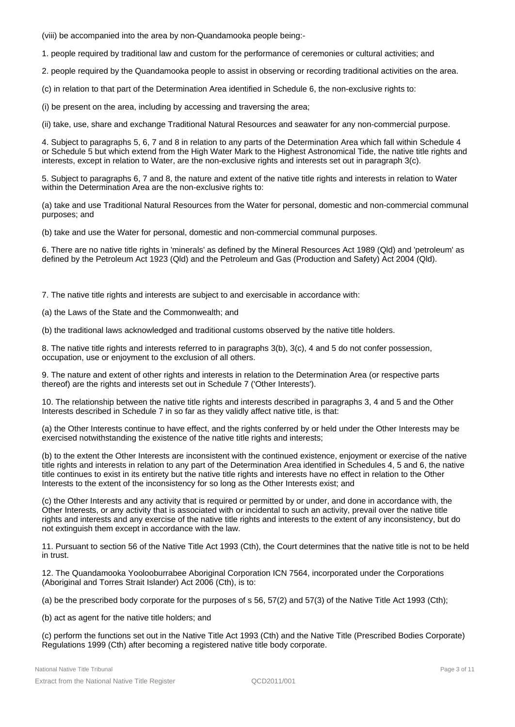(viii) be accompanied into the area by non-Quandamooka people being:-

1. people required by traditional law and custom for the performance of ceremonies or cultural activities; and

2. people required by the Quandamooka people to assist in observing or recording traditional activities on the area.

(c) in relation to that part of the Determination Area identified in Schedule 6, the non-exclusive rights to:

(i) be present on the area, including by accessing and traversing the area;

(ii) take, use, share and exchange Traditional Natural Resources and seawater for any non-commercial purpose.

4. Subject to paragraphs 5, 6, 7 and 8 in relation to any parts of the Determination Area which fall within Schedule 4 or Schedule 5 but which extend from the High Water Mark to the Highest Astronomical Tide, the native title rights and interests, except in relation to Water, are the non-exclusive rights and interests set out in paragraph 3(c).

5. Subject to paragraphs 6, 7 and 8, the nature and extent of the native title rights and interests in relation to Water within the Determination Area are the non-exclusive rights to:

(a) take and use Traditional Natural Resources from the Water for personal, domestic and non-commercial communal purposes; and

(b) take and use the Water for personal, domestic and non-commercial communal purposes.

6. There are no native title rights in 'minerals' as defined by the Mineral Resources Act 1989 (Qld) and 'petroleum' as defined by the Petroleum Act 1923 (Qld) and the Petroleum and Gas (Production and Safety) Act 2004 (Qld).

7. The native title rights and interests are subject to and exercisable in accordance with:

(a) the Laws of the State and the Commonwealth; and

(b) the traditional laws acknowledged and traditional customs observed by the native title holders.

8. The native title rights and interests referred to in paragraphs 3(b), 3(c), 4 and 5 do not confer possession, occupation, use or enjoyment to the exclusion of all others.

9. The nature and extent of other rights and interests in relation to the Determination Area (or respective parts thereof) are the rights and interests set out in Schedule 7 ('Other Interests').

10. The relationship between the native title rights and interests described in paragraphs 3, 4 and 5 and the Other Interests described in Schedule 7 in so far as they validly affect native title, is that:

(a) the Other Interests continue to have effect, and the rights conferred by or held under the Other Interests may be exercised notwithstanding the existence of the native title rights and interests;

(b) to the extent the Other Interests are inconsistent with the continued existence, enjoyment or exercise of the native title rights and interests in relation to any part of the Determination Area identified in Schedules 4, 5 and 6, the native title continues to exist in its entirety but the native title rights and interests have no effect in relation to the Other Interests to the extent of the inconsistency for so long as the Other Interests exist; and

(c) the Other Interests and any activity that is required or permitted by or under, and done in accordance with, the Other Interests, or any activity that is associated with or incidental to such an activity, prevail over the native title rights and interests and any exercise of the native title rights and interests to the extent of any inconsistency, but do not extinguish them except in accordance with the law.

11. Pursuant to section 56 of the Native Title Act 1993 (Cth), the Court determines that the native title is not to be held in trust.

12. The Quandamooka Yoolooburrabee Aboriginal Corporation ICN 7564, incorporated under the Corporations (Aboriginal and Torres Strait Islander) Act 2006 (Cth), is to:

(a) be the prescribed body corporate for the purposes of s 56, 57(2) and 57(3) of the Native Title Act 1993 (Cth);

(b) act as agent for the native title holders; and

(c) perform the functions set out in the Native Title Act 1993 (Cth) and the Native Title (Prescribed Bodies Corporate) Regulations 1999 (Cth) after becoming a registered native title body corporate.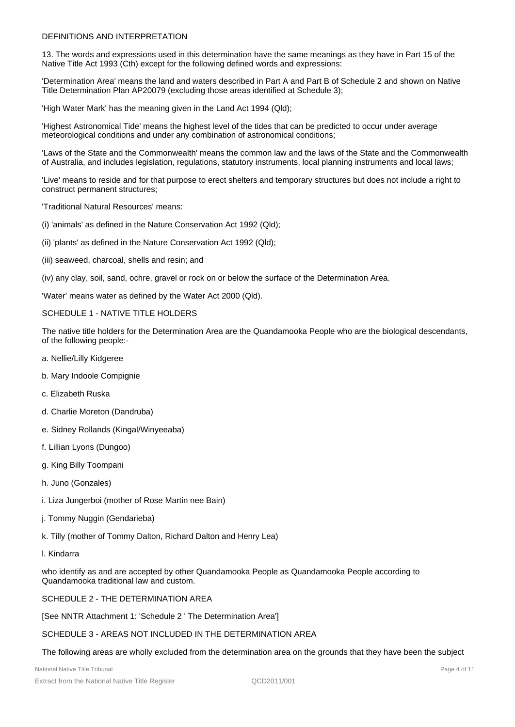### DEFINITIONS AND INTERPRETATION

13. The words and expressions used in this determination have the same meanings as they have in Part 15 of the Native Title Act 1993 (Cth) except for the following defined words and expressions:

'Determination Area' means the land and waters described in Part A and Part B of Schedule 2 and shown on Native Title Determination Plan AP20079 (excluding those areas identified at Schedule 3);

'High Water Mark' has the meaning given in the Land Act 1994 (Qld);

'Highest Astronomical Tide' means the highest level of the tides that can be predicted to occur under average meteorological conditions and under any combination of astronomical conditions;

'Laws of the State and the Commonwealth' means the common law and the laws of the State and the Commonwealth of Australia, and includes legislation, regulations, statutory instruments, local planning instruments and local laws;

'Live' means to reside and for that purpose to erect shelters and temporary structures but does not include a right to construct permanent structures;

'Traditional Natural Resources' means:

- (i) 'animals' as defined in the Nature Conservation Act 1992 (Qld);
- (ii) 'plants' as defined in the Nature Conservation Act 1992 (Qld);
- (iii) seaweed, charcoal, shells and resin; and

(iv) any clay, soil, sand, ochre, gravel or rock on or below the surface of the Determination Area.

'Water' means water as defined by the Water Act 2000 (Qld).

#### SCHEDULE 1 - NATIVE TITLE HOLDERS

The native title holders for the Determination Area are the Quandamooka People who are the biological descendants, of the following people:-

- a. Nellie/Lilly Kidgeree
- b. Mary Indoole Compignie
- c. Elizabeth Ruska
- d. Charlie Moreton (Dandruba)
- e. Sidney Rollands (Kingal/Winyeeaba)
- f. Lillian Lyons (Dungoo)
- g. King Billy Toompani
- h. Juno (Gonzales)
- i. Liza Jungerboi (mother of Rose Martin nee Bain)
- j. Tommy Nuggin (Gendarieba)
- k. Tilly (mother of Tommy Dalton, Richard Dalton and Henry Lea)
- l. Kindarra

who identify as and are accepted by other Quandamooka People as Quandamooka People according to Quandamooka traditional law and custom.

SCHEDULE 2 - THE DETERMINATION AREA

[See NNTR Attachment 1: 'Schedule 2 ' The Determination Area']

SCHEDULE 3 - AREAS NOT INCLUDED IN THE DETERMINATION AREA

The following areas are wholly excluded from the determination area on the grounds that they have been the subject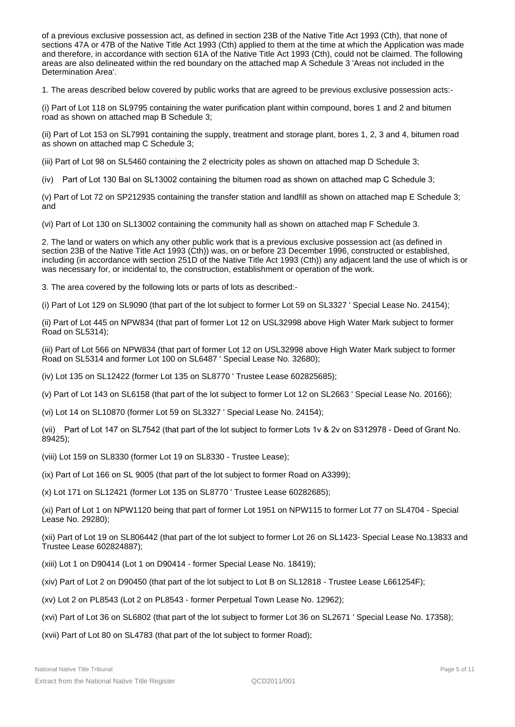of a previous exclusive possession act, as defined in section 23B of the Native Title Act 1993 (Cth), that none of sections 47A or 47B of the Native Title Act 1993 (Cth) applied to them at the time at which the Application was made and therefore, in accordance with section 61A of the Native Title Act 1993 (Cth), could not be claimed. The following areas are also delineated within the red boundary on the attached map A Schedule 3 'Areas not included in the Determination Area'.

1. The areas described below covered by public works that are agreed to be previous exclusive possession acts:-

(i) Part of Lot 118 on SL9795 containing the water purification plant within compound, bores 1 and 2 and bitumen road as shown on attached map B Schedule 3;

(ii) Part of Lot 153 on SL7991 containing the supply, treatment and storage plant, bores 1, 2, 3 and 4, bitumen road as shown on attached map C Schedule 3;

(iii) Part of Lot 98 on SL5460 containing the 2 electricity poles as shown on attached map D Schedule 3;

(iv) Part of Lot 130 Bal on SL13002 containing the bitumen road as shown on attached map C Schedule 3;

(v) Part of Lot 72 on SP212935 containing the transfer station and landfill as shown on attached map E Schedule 3; and

(vi) Part of Lot 130 on SL13002 containing the community hall as shown on attached map F Schedule 3.

2. The land or waters on which any other public work that is a previous exclusive possession act (as defined in section 23B of the Native Title Act 1993 (Cth)) was, on or before 23 December 1996, constructed or established, including (in accordance with section 251D of the Native Title Act 1993 (Cth)) any adjacent land the use of which is or was necessary for, or incidental to, the construction, establishment or operation of the work.

3. The area covered by the following lots or parts of lots as described:-

(i) Part of Lot 129 on SL9090 (that part of the lot subject to former Lot 59 on SL3327 ' Special Lease No. 24154);

(ii) Part of Lot 445 on NPW834 (that part of former Lot 12 on USL32998 above High Water Mark subject to former Road on SL5314);

(iii) Part of Lot 566 on NPW834 (that part of former Lot 12 on USL32998 above High Water Mark subject to former Road on SL5314 and former Lot 100 on SL6487 ' Special Lease No. 32680);

(iv) Lot 135 on SL12422 (former Lot 135 on SL8770 ' Trustee Lease 602825685);

(v) Part of Lot 143 on SL6158 (that part of the lot subject to former Lot 12 on SL2663 ' Special Lease No. 20166);

(vi) Lot 14 on SL10870 (former Lot 59 on SL3327 ' Special Lease No. 24154);

(vii) Part of Lot 147 on SL7542 (that part of the lot subject to former Lots 1v & 2v on S312978 - Deed of Grant No. 89425);

- (viii) Lot 159 on SL8330 (former Lot 19 on SL8330 Trustee Lease);
- (ix) Part of Lot 166 on SL 9005 (that part of the lot subject to former Road on A3399);

(x) Lot 171 on SL12421 (former Lot 135 on SL8770 ' Trustee Lease 60282685);

(xi) Part of Lot 1 on NPW1120 being that part of former Lot 1951 on NPW115 to former Lot 77 on SL4704 - Special Lease No. 29280);

(xii) Part of Lot 19 on SL806442 (that part of the lot subject to former Lot 26 on SL1423- Special Lease No.13833 and Trustee Lease 602824887);

(xiii) Lot 1 on D90414 (Lot 1 on D90414 - former Special Lease No. 18419);

(xiv) Part of Lot 2 on D90450 (that part of the lot subject to Lot B on SL12818 - Trustee Lease L661254F);

(xv) Lot 2 on PL8543 (Lot 2 on PL8543 - former Perpetual Town Lease No. 12962);

(xvi) Part of Lot 36 on SL6802 (that part of the lot subject to former Lot 36 on SL2671 ' Special Lease No. 17358);

(xvii) Part of Lot 80 on SL4783 (that part of the lot subject to former Road);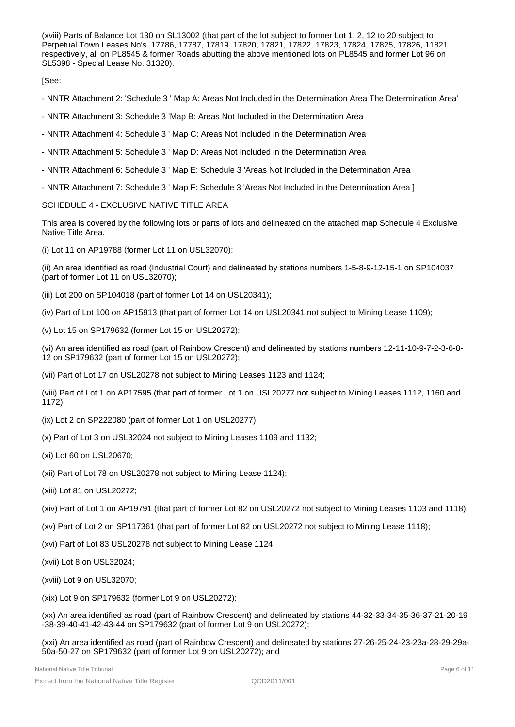(xviii) Parts of Balance Lot 130 on SL13002 (that part of the lot subject to former Lot 1, 2, 12 to 20 subject to Perpetual Town Leases No's. 17786, 17787, 17819, 17820, 17821, 17822, 17823, 17824, 17825, 17826, 11821 respectively, all on PL8545 & former Roads abutting the above mentioned lots on PL8545 and former Lot 96 on SL5398 - Special Lease No. 31320).

[See:

- NNTR Attachment 2: 'Schedule 3 ' Map A: Areas Not Included in the Determination Area The Determination Area'

- NNTR Attachment 3: Schedule 3 'Map B: Areas Not Included in the Determination Area
- NNTR Attachment 4: Schedule 3 ' Map C: Areas Not Included in the Determination Area
- NNTR Attachment 5: Schedule 3 ' Map D: Areas Not Included in the Determination Area
- NNTR Attachment 6: Schedule 3 ' Map E: Schedule 3 'Areas Not Included in the Determination Area
- NNTR Attachment 7: Schedule 3 ' Map F: Schedule 3 'Areas Not Included in the Determination Area ]

#### SCHEDULE 4 - EXCLUSIVE NATIVE TITLE AREA

This area is covered by the following lots or parts of lots and delineated on the attached map Schedule 4 Exclusive Native Title Area.

(i) Lot 11 on AP19788 (former Lot 11 on USL32070);

(ii) An area identified as road (Industrial Court) and delineated by stations numbers 1-5-8-9-12-15-1 on SP104037 (part of former Lot 11 on USL32070);

- (iii) Lot 200 on SP104018 (part of former Lot 14 on USL20341);
- (iv) Part of Lot 100 on AP15913 (that part of former Lot 14 on USL20341 not subject to Mining Lease 1109);
- (v) Lot 15 on SP179632 (former Lot 15 on USL20272);

(vi) An area identified as road (part of Rainbow Crescent) and delineated by stations numbers 12-11-10-9-7-2-3-6-8- 12 on SP179632 (part of former Lot 15 on USL20272);

(vii) Part of Lot 17 on USL20278 not subject to Mining Leases 1123 and 1124;

(viii) Part of Lot 1 on AP17595 (that part of former Lot 1 on USL20277 not subject to Mining Leases 1112, 1160 and 1172);

- (ix) Lot 2 on SP222080 (part of former Lot 1 on USL20277);
- (x) Part of Lot 3 on USL32024 not subject to Mining Leases 1109 and 1132;
- (xi) Lot 60 on USL20670;
- (xii) Part of Lot 78 on USL20278 not subject to Mining Lease 1124);
- (xiii) Lot 81 on USL20272;
- (xiv) Part of Lot 1 on AP19791 (that part of former Lot 82 on USL20272 not subject to Mining Leases 1103 and 1118);
- (xv) Part of Lot 2 on SP117361 (that part of former Lot 82 on USL20272 not subject to Mining Lease 1118);
- (xvi) Part of Lot 83 USL20278 not subject to Mining Lease 1124;
- (xvii) Lot 8 on USL32024;
- (xviii) Lot 9 on USL32070;
- (xix) Lot 9 on SP179632 (former Lot 9 on USL20272);

(xx) An area identified as road (part of Rainbow Crescent) and delineated by stations 44-32-33-34-35-36-37-21-20-19 -38-39-40-41-42-43-44 on SP179632 (part of former Lot 9 on USL20272);

(xxi) An area identified as road (part of Rainbow Crescent) and delineated by stations 27-26-25-24-23-23a-28-29-29a-50a-50-27 on SP179632 (part of former Lot 9 on USL20272); and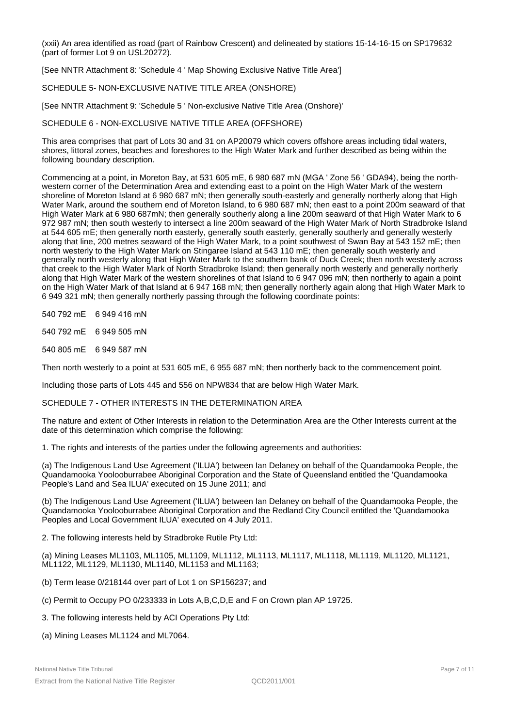(xxii) An area identified as road (part of Rainbow Crescent) and delineated by stations 15-14-16-15 on SP179632 (part of former Lot 9 on USL20272).

[See NNTR Attachment 8: 'Schedule 4 ' Map Showing Exclusive Native Title Area']

SCHEDULE 5- NON-EXCLUSIVE NATIVE TITLE AREA (ONSHORE)

[See NNTR Attachment 9: 'Schedule 5 ' Non-exclusive Native Title Area (Onshore)'

SCHEDULE 6 - NON-EXCLUSIVE NATIVE TITLE AREA (OFFSHORE)

This area comprises that part of Lots 30 and 31 on AP20079 which covers offshore areas including tidal waters, shores, littoral zones, beaches and foreshores to the High Water Mark and further described as being within the following boundary description.

Commencing at a point, in Moreton Bay, at 531 605 mE, 6 980 687 mN (MGA ' Zone 56 ' GDA94), being the northwestern corner of the Determination Area and extending east to a point on the High Water Mark of the western shoreline of Moreton Island at 6 980 687 mN; then generally south-easterly and generally northerly along that High Water Mark, around the southern end of Moreton Island, to 6 980 687 mN; then east to a point 200m seaward of that High Water Mark at 6 980 687mN; then generally southerly along a line 200m seaward of that High Water Mark to 6 972 987 mN; then south westerly to intersect a line 200m seaward of the High Water Mark of North Stradbroke Island at 544 605 mE; then generally north easterly, generally south easterly, generally southerly and generally westerly along that line, 200 metres seaward of the High Water Mark, to a point southwest of Swan Bay at 543 152 mE; then north westerly to the High Water Mark on Stingaree Island at 543 110 mE; then generally south westerly and generally north westerly along that High Water Mark to the southern bank of Duck Creek; then north westerly across that creek to the High Water Mark of North Stradbroke Island; then generally north westerly and generally northerly along that High Water Mark of the western shorelines of that Island to 6 947 096 mN; then northerly to again a point on the High Water Mark of that Island at 6 947 168 mN; then generally northerly again along that High Water Mark to 6 949 321 mN; then generally northerly passing through the following coordinate points:

540 792 mE 6 949 416 mN

540 792 mE 6 949 505 mN

540 805 mE 6 949 587 mN

Then north westerly to a point at 531 605 mE, 6 955 687 mN; then northerly back to the commencement point.

Including those parts of Lots 445 and 556 on NPW834 that are below High Water Mark.

SCHEDULE 7 - OTHER INTERESTS IN THE DETERMINATION AREA

The nature and extent of Other Interests in relation to the Determination Area are the Other Interests current at the date of this determination which comprise the following:

1. The rights and interests of the parties under the following agreements and authorities:

(a) The Indigenous Land Use Agreement ('ILUA') between Ian Delaney on behalf of the Quandamooka People, the Quandamooka Yoolooburrabee Aboriginal Corporation and the State of Queensland entitled the 'Quandamooka People's Land and Sea ILUA' executed on 15 June 2011; and

(b) The Indigenous Land Use Agreement ('ILUA') between Ian Delaney on behalf of the Quandamooka People, the Quandamooka Yoolooburrabee Aboriginal Corporation and the Redland City Council entitled the 'Quandamooka Peoples and Local Government ILUA' executed on 4 July 2011.

2. The following interests held by Stradbroke Rutile Pty Ltd:

(a) Mining Leases ML1103, ML1105, ML1109, ML1112, ML1113, ML1117, ML1118, ML1119, ML1120, ML1121, ML1122, ML1129, ML1130, ML1140, ML1153 and ML1163;

- (b) Term lease 0/218144 over part of Lot 1 on SP156237; and
- (c) Permit to Occupy PO 0/233333 in Lots A,B,C,D,E and F on Crown plan AP 19725.

3. The following interests held by ACI Operations Pty Ltd:

(a) Mining Leases ML1124 and ML7064.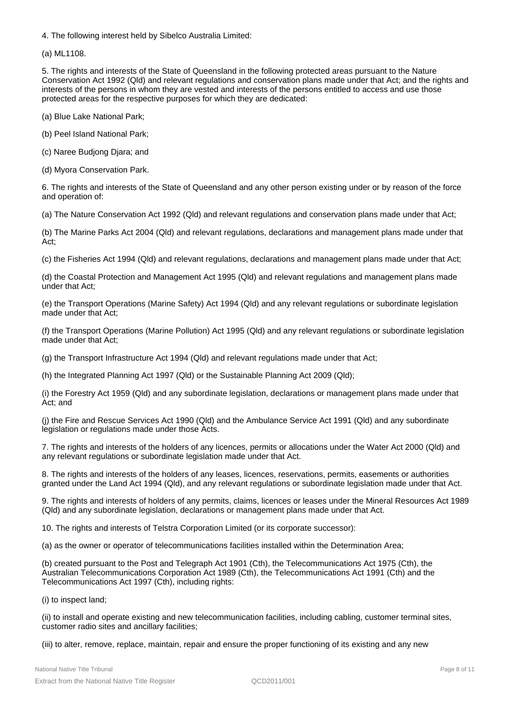4. The following interest held by Sibelco Australia Limited:

(a) ML1108.

5. The rights and interests of the State of Queensland in the following protected areas pursuant to the Nature Conservation Act 1992 (Qld) and relevant regulations and conservation plans made under that Act; and the rights and interests of the persons in whom they are vested and interests of the persons entitled to access and use those protected areas for the respective purposes for which they are dedicated:

(a) Blue Lake National Park;

(b) Peel Island National Park;

(c) Naree Budjong Djara; and

(d) Myora Conservation Park.

6. The rights and interests of the State of Queensland and any other person existing under or by reason of the force and operation of:

(a) The Nature Conservation Act 1992 (Qld) and relevant regulations and conservation plans made under that Act;

(b) The Marine Parks Act 2004 (Qld) and relevant regulations, declarations and management plans made under that Act;

(c) the Fisheries Act 1994 (Qld) and relevant regulations, declarations and management plans made under that Act;

(d) the Coastal Protection and Management Act 1995 (Qld) and relevant regulations and management plans made under that Act;

(e) the Transport Operations (Marine Safety) Act 1994 (Qld) and any relevant regulations or subordinate legislation made under that Act;

(f) the Transport Operations (Marine Pollution) Act 1995 (Qld) and any relevant regulations or subordinate legislation made under that Act;

(g) the Transport Infrastructure Act 1994 (Qld) and relevant regulations made under that Act;

(h) the Integrated Planning Act 1997 (Qld) or the Sustainable Planning Act 2009 (Qld);

(i) the Forestry Act 1959 (Qld) and any subordinate legislation, declarations or management plans made under that Act; and

(j) the Fire and Rescue Services Act 1990 (Qld) and the Ambulance Service Act 1991 (Qld) and any subordinate legislation or regulations made under those Acts.

7. The rights and interests of the holders of any licences, permits or allocations under the Water Act 2000 (Qld) and any relevant regulations or subordinate legislation made under that Act.

8. The rights and interests of the holders of any leases, licences, reservations, permits, easements or authorities granted under the Land Act 1994 (Qld), and any relevant regulations or subordinate legislation made under that Act.

9. The rights and interests of holders of any permits, claims, licences or leases under the Mineral Resources Act 1989 (Qld) and any subordinate legislation, declarations or management plans made under that Act.

10. The rights and interests of Telstra Corporation Limited (or its corporate successor):

(a) as the owner or operator of telecommunications facilities installed within the Determination Area;

(b) created pursuant to the Post and Telegraph Act 1901 (Cth), the Telecommunications Act 1975 (Cth), the Australian Telecommunications Corporation Act 1989 (Cth), the Telecommunications Act 1991 (Cth) and the Telecommunications Act 1997 (Cth), including rights:

(i) to inspect land;

(ii) to install and operate existing and new telecommunication facilities, including cabling, customer terminal sites, customer radio sites and ancillary facilities;

(iii) to alter, remove, replace, maintain, repair and ensure the proper functioning of its existing and any new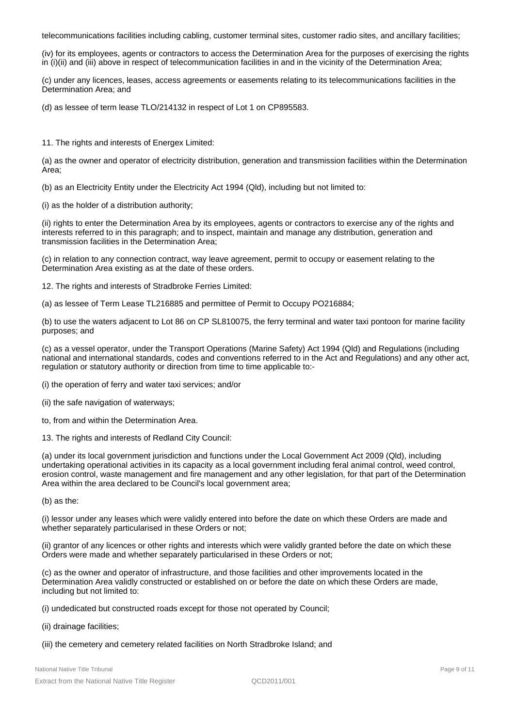telecommunications facilities including cabling, customer terminal sites, customer radio sites, and ancillary facilities;

(iv) for its employees, agents or contractors to access the Determination Area for the purposes of exercising the rights in (i)(ii) and (iii) above in respect of telecommunication facilities in and in the vicinity of the Determination Area;

(c) under any licences, leases, access agreements or easements relating to its telecommunications facilities in the Determination Area; and

(d) as lessee of term lease TLO/214132 in respect of Lot 1 on CP895583.

11. The rights and interests of Energex Limited:

(a) as the owner and operator of electricity distribution, generation and transmission facilities within the Determination Area;

(b) as an Electricity Entity under the Electricity Act 1994 (Qld), including but not limited to:

(i) as the holder of a distribution authority;

(ii) rights to enter the Determination Area by its employees, agents or contractors to exercise any of the rights and interests referred to in this paragraph; and to inspect, maintain and manage any distribution, generation and transmission facilities in the Determination Area;

(c) in relation to any connection contract, way leave agreement, permit to occupy or easement relating to the Determination Area existing as at the date of these orders.

12. The rights and interests of Stradbroke Ferries Limited:

(a) as lessee of Term Lease TL216885 and permittee of Permit to Occupy PO216884;

(b) to use the waters adjacent to Lot 86 on CP SL810075, the ferry terminal and water taxi pontoon for marine facility purposes; and

(c) as a vessel operator, under the Transport Operations (Marine Safety) Act 1994 (Qld) and Regulations (including national and international standards, codes and conventions referred to in the Act and Regulations) and any other act, regulation or statutory authority or direction from time to time applicable to:-

(i) the operation of ferry and water taxi services; and/or

- (ii) the safe navigation of waterways;
- to, from and within the Determination Area.
- 13. The rights and interests of Redland City Council:

(a) under its local government jurisdiction and functions under the Local Government Act 2009 (Qld), including undertaking operational activities in its capacity as a local government including feral animal control, weed control, erosion control, waste management and fire management and any other legislation, for that part of the Determination Area within the area declared to be Council's local government area;

(b) as the:

(i) lessor under any leases which were validly entered into before the date on which these Orders are made and whether separately particularised in these Orders or not;

(ii) grantor of any licences or other rights and interests which were validly granted before the date on which these Orders were made and whether separately particularised in these Orders or not;

(c) as the owner and operator of infrastructure, and those facilities and other improvements located in the Determination Area validly constructed or established on or before the date on which these Orders are made, including but not limited to:

(i) undedicated but constructed roads except for those not operated by Council;

(ii) drainage facilities;

#### (iii) the cemetery and cemetery related facilities on North Stradbroke Island; and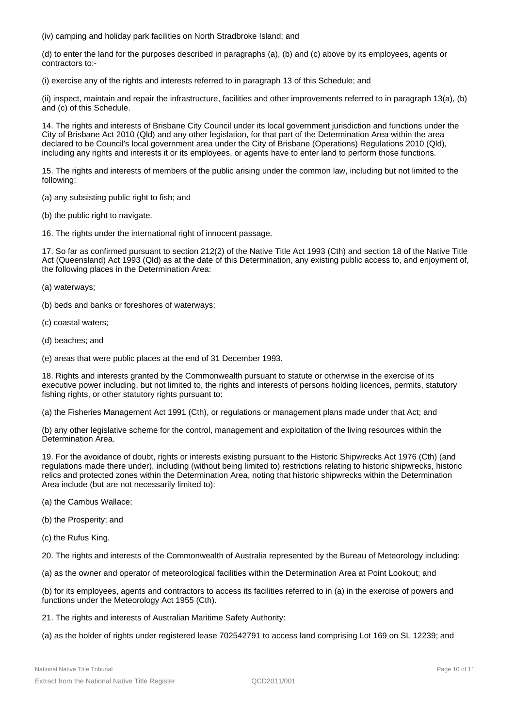(iv) camping and holiday park facilities on North Stradbroke Island; and

(d) to enter the land for the purposes described in paragraphs (a), (b) and (c) above by its employees, agents or contractors to:-

(i) exercise any of the rights and interests referred to in paragraph 13 of this Schedule; and

(ii) inspect, maintain and repair the infrastructure, facilities and other improvements referred to in paragraph 13(a), (b) and (c) of this Schedule.

14. The rights and interests of Brisbane City Council under its local government jurisdiction and functions under the City of Brisbane Act 2010 (Qld) and any other legislation, for that part of the Determination Area within the area declared to be Council's local government area under the City of Brisbane (Operations) Regulations 2010 (Qld), including any rights and interests it or its employees, or agents have to enter land to perform those functions.

15. The rights and interests of members of the public arising under the common law, including but not limited to the following:

(a) any subsisting public right to fish; and

(b) the public right to navigate.

16. The rights under the international right of innocent passage.

17. So far as confirmed pursuant to section 212(2) of the Native Title Act 1993 (Cth) and section 18 of the Native Title Act (Queensland) Act 1993 (Qld) as at the date of this Determination, any existing public access to, and enjoyment of, the following places in the Determination Area:

(a) waterways;

- (b) beds and banks or foreshores of waterways;
- (c) coastal waters;
- (d) beaches; and
- (e) areas that were public places at the end of 31 December 1993.

18. Rights and interests granted by the Commonwealth pursuant to statute or otherwise in the exercise of its executive power including, but not limited to, the rights and interests of persons holding licences, permits, statutory fishing rights, or other statutory rights pursuant to:

(a) the Fisheries Management Act 1991 (Cth), or regulations or management plans made under that Act; and

(b) any other legislative scheme for the control, management and exploitation of the living resources within the Determination Area.

19. For the avoidance of doubt, rights or interests existing pursuant to the Historic Shipwrecks Act 1976 (Cth) (and regulations made there under), including (without being limited to) restrictions relating to historic shipwrecks, historic relics and protected zones within the Determination Area, noting that historic shipwrecks within the Determination Area include (but are not necessarily limited to):

- (a) the Cambus Wallace;
- (b) the Prosperity; and
- (c) the Rufus King.

20. The rights and interests of the Commonwealth of Australia represented by the Bureau of Meteorology including:

(a) as the owner and operator of meteorological facilities within the Determination Area at Point Lookout; and

(b) for its employees, agents and contractors to access its facilities referred to in (a) in the exercise of powers and functions under the Meteorology Act 1955 (Cth).

21. The rights and interests of Australian Maritime Safety Authority:

(a) as the holder of rights under registered lease 702542791 to access land comprising Lot 169 on SL 12239; and